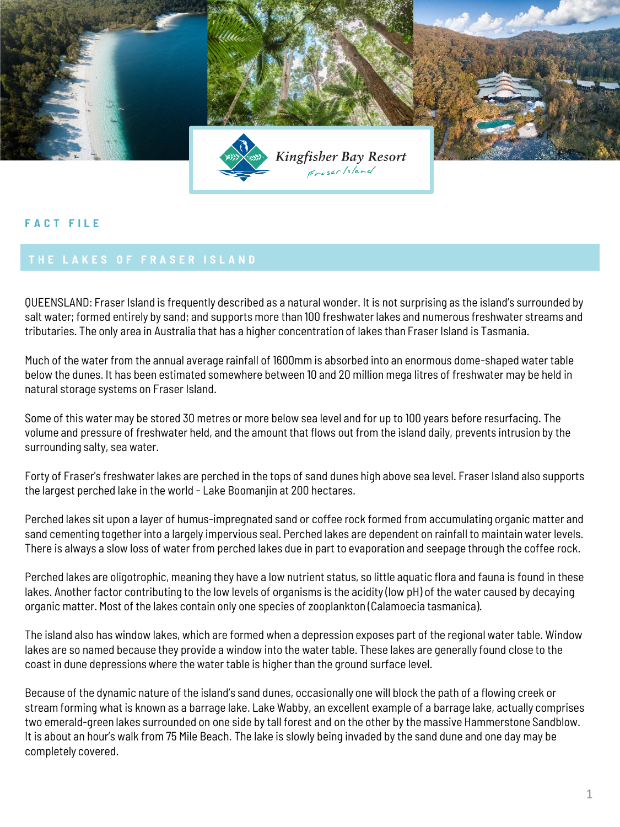

## **F A C T F I L E**

QUEENSLAND: Fraser Island is frequently described as a natural wonder. It is not surprising as the island's surrounded by salt water; formed entirely by sand; and supports more than 100 freshwater lakes and numerous freshwater streams and tributaries. The only area in Australia that has a higher concentration of lakes than Fraser Island is Tasmania.

Much of the water from the annual average rainfall of 1600mm is absorbed into an enormous dome-shaped water table below the dunes. It has been estimated somewhere between 10 and 20 million mega litres of freshwater may be held in natural storage systems on Fraser Island.

Some of this water may be stored 30 metres or more below sea level and for up to 100 years before resurfacing. The volume and pressure of freshwater held, and the amount that flows out from the island daily, prevents intrusion by the surrounding salty, sea water.

Forty of Fraser's freshwater lakes are perched in the tops of sand dunes high above sea level. Fraser Island also supports the largest perched lake in the world - Lake Boomanjin at 200 hectares.

Perched lakes sit upon a layer of humus-impregnated sand or coffee rock formed from accumulating organic matter and sand cementing together into a largely impervious seal. Perched lakes are dependent on rainfall to maintain water levels. There is always a slow loss of water from perched lakes due in part to evaporation and seepage through the coffee rock.

Perched lakes are oligotrophic, meaning they have a low nutrient status, so little aquatic flora and fauna is found in these lakes. Another factor contributing to the low levels of organisms is the acidity (low pH) of the water caused by decaying organic matter. Most of the lakes contain only one species of zooplankton (Calamoecia tasmanica).

The island also has window lakes, which are formed when a depression exposes part of the regional water table. Window lakes are so named because they provide a window into the water table. These lakes are generally found close to the coast in dune depressions where the water table is higher than the ground surface level.

Because of the dynamic nature of the island's sand dunes, occasionally one will block the path of a flowing creek or stream forming what is known as a barrage lake. Lake Wabby, an excellent example of a barrage lake, actually comprises two emerald-green lakes surrounded on one side by tall forest and on the other by the massive Hammerstone Sandblow. It is about an hour's walk from 75 Mile Beach. The lake is slowly being invaded by the sand dune and one day may be completely covered.